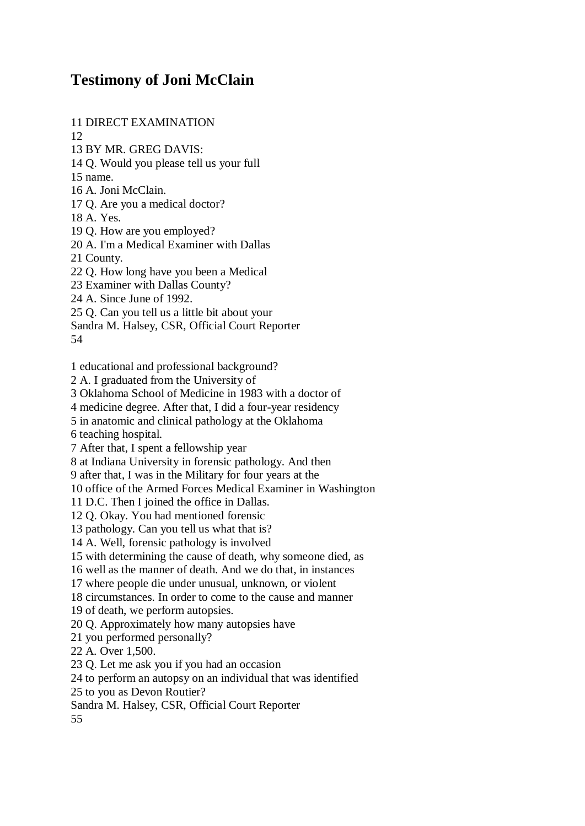## **Testimony of Joni McClain**

11 DIRECT EXAMINATION

12

13 BY MR. GREG DAVIS:

14 Q. Would you please tell us your full

15 name.

16 A. Joni McClain.

17 Q. Are you a medical doctor?

18 A. Yes.

19 Q. How are you employed?

20 A. I'm a Medical Examiner with Dallas

21 County.

22 Q. How long have you been a Medical

23 Examiner with Dallas County?

24 A. Since June of 1992.

25 Q. Can you tell us a little bit about your

Sandra M. Halsey, CSR, Official Court Reporter 54

1 educational and professional background?

2 A. I graduated from the University of

3 Oklahoma School of Medicine in 1983 with a doctor of

4 medicine degree. After that, I did a four-year residency

5 in anatomic and clinical pathology at the Oklahoma

6 teaching hospital.

7 After that, I spent a fellowship year

8 at Indiana University in forensic pathology. And then

9 after that, I was in the Military for four years at the

10 office of the Armed Forces Medical Examiner in Washington

11 D.C. Then I joined the office in Dallas.

12 Q. Okay. You had mentioned forensic

13 pathology. Can you tell us what that is?

14 A. Well, forensic pathology is involved

15 with determining the cause of death, why someone died, as

16 well as the manner of death. And we do that, in instances

17 where people die under unusual, unknown, or violent

18 circumstances. In order to come to the cause and manner

19 of death, we perform autopsies.

20 Q. Approximately how many autopsies have

21 you performed personally?

22 A. Over 1,500.

23 Q. Let me ask you if you had an occasion

24 to perform an autopsy on an individual that was identified

25 to you as Devon Routier?

Sandra M. Halsey, CSR, Official Court Reporter

55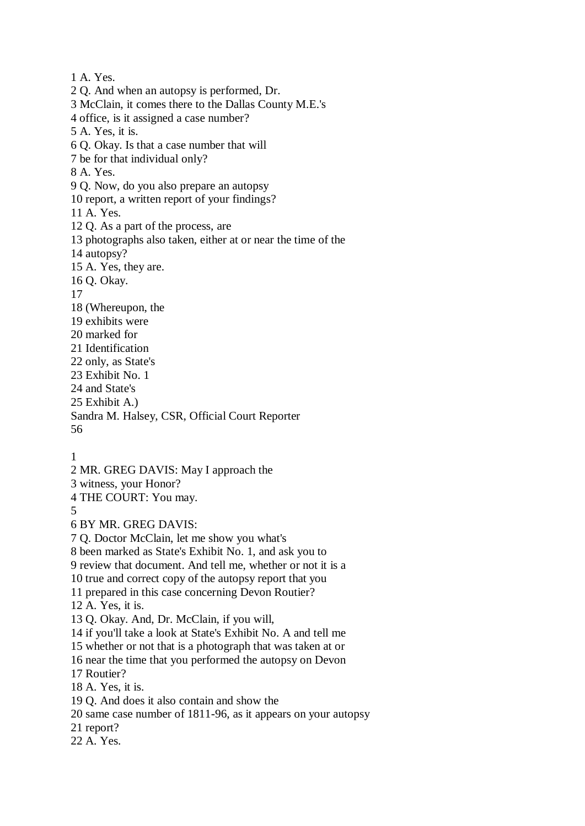1 A. Yes. 2 Q. And when an autopsy is performed, Dr. 3 McClain, it comes there to the Dallas County M.E.'s 4 office, is it assigned a case number? 5 A. Yes, it is. 6 Q. Okay. Is that a case number that will 7 be for that individual only? 8 A. Yes. 9 Q. Now, do you also prepare an autopsy 10 report, a written report of your findings? 11 A. Yes. 12 Q. As a part of the process, are 13 photographs also taken, either at or near the time of the 14 autopsy? 15 A. Yes, they are. 16 Q. Okay. 17 18 (Whereupon, the 19 exhibits were 20 marked for 21 Identification 22 only, as State's 23 Exhibit No. 1 24 and State's 25 Exhibit A.) Sandra M. Halsey, CSR, Official Court Reporter 56 1 2 MR. GREG DAVIS: May I approach the 3 witness, your Honor? 4 THE COURT: You may. 5 6 BY MR. GREG DAVIS: 7 Q. Doctor McClain, let me show you what's 8 been marked as State's Exhibit No. 1, and ask you to 9 review that document. And tell me, whether or not it is a 10 true and correct copy of the autopsy report that you 11 prepared in this case concerning Devon Routier? 12 A. Yes, it is. 13 Q. Okay. And, Dr. McClain, if you will, 14 if you'll take a look at State's Exhibit No. A and tell me 15 whether or not that is a photograph that was taken at or 16 near the time that you performed the autopsy on Devon 17 Routier? 18 A. Yes, it is. 19 Q. And does it also contain and show the 20 same case number of 1811-96, as it appears on your autopsy 21 report?

22 A. Yes.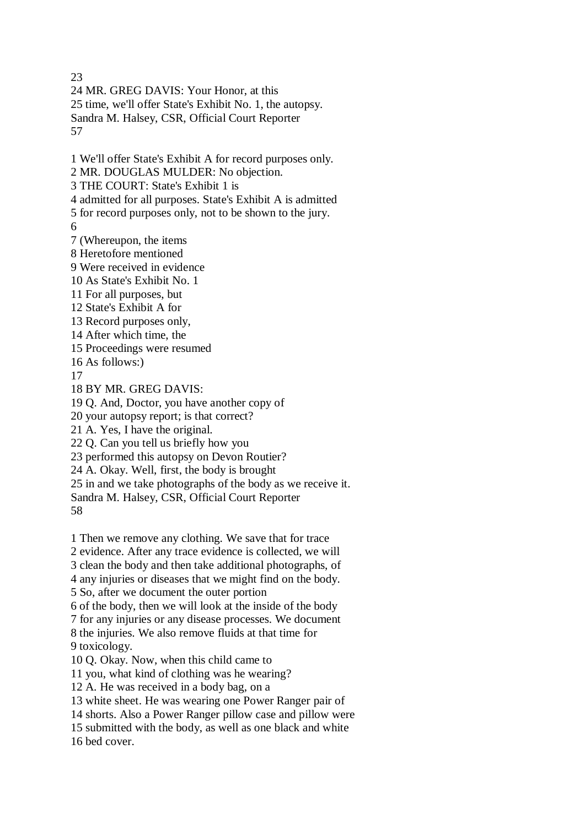23

24 MR. GREG DAVIS: Your Honor, at this

25 time, we'll offer State's Exhibit No. 1, the autopsy.

Sandra M. Halsey, CSR, Official Court Reporter 57

1 We'll offer State's Exhibit A for record purposes only.

2 MR. DOUGLAS MULDER: No objection.

3 THE COURT: State's Exhibit 1 is

4 admitted for all purposes. State's Exhibit A is admitted

5 for record purposes only, not to be shown to the jury.

6

7 (Whereupon, the items

8 Heretofore mentioned

9 Were received in evidence

10 As State's Exhibit No. 1

- 11 For all purposes, but
- 12 State's Exhibit A for
- 13 Record purposes only,
- 14 After which time, the
- 15 Proceedings were resumed
- 16 As follows:)
- 17

18 BY MR. GREG DAVIS:

19 Q. And, Doctor, you have another copy of

20 your autopsy report; is that correct?

21 A. Yes, I have the original.

22 Q. Can you tell us briefly how you

23 performed this autopsy on Devon Routier?

24 A. Okay. Well, first, the body is brought

25 in and we take photographs of the body as we receive it.

Sandra M. Halsey, CSR, Official Court Reporter 58

1 Then we remove any clothing. We save that for trace

2 evidence. After any trace evidence is collected, we will

3 clean the body and then take additional photographs, of

4 any injuries or diseases that we might find on the body.

5 So, after we document the outer portion

6 of the body, then we will look at the inside of the body

7 for any injuries or any disease processes. We document

8 the injuries. We also remove fluids at that time for 9 toxicology.

10 Q. Okay. Now, when this child came to

11 you, what kind of clothing was he wearing?

12 A. He was received in a body bag, on a

13 white sheet. He was wearing one Power Ranger pair of

14 shorts. Also a Power Ranger pillow case and pillow were

15 submitted with the body, as well as one black and white 16 bed cover.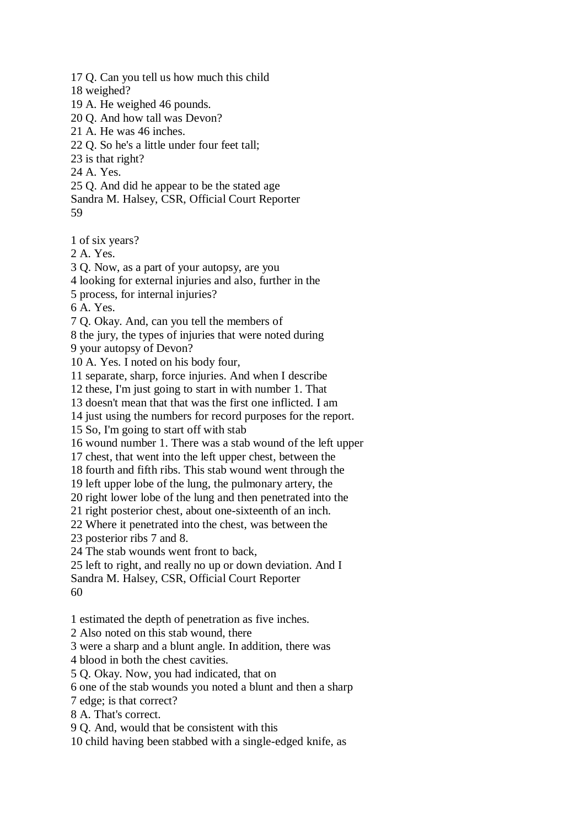17 Q. Can you tell us how much this child 18 weighed? 19 A. He weighed 46 pounds. 20 Q. And how tall was Devon? 21 A. He was 46 inches. 22 Q. So he's a little under four feet tall; 23 is that right? 24 A. Yes. 25 Q. And did he appear to be the stated age Sandra M. Halsey, CSR, Official Court Reporter 59 1 of six years? 2 A. Yes. 3 Q. Now, as a part of your autopsy, are you 4 looking for external injuries and also, further in the 5 process, for internal injuries? 6 A. Yes. 7 Q. Okay. And, can you tell the members of 8 the jury, the types of injuries that were noted during 9 your autopsy of Devon? 10 A. Yes. I noted on his body four, 11 separate, sharp, force injuries. And when I describe 12 these, I'm just going to start in with number 1. That 13 doesn't mean that that was the first one inflicted. I am 14 just using the numbers for record purposes for the report. 15 So, I'm going to start off with stab 16 wound number 1. There was a stab wound of the left upper 17 chest, that went into the left upper chest, between the 18 fourth and fifth ribs. This stab wound went through the 19 left upper lobe of the lung, the pulmonary artery, the 20 right lower lobe of the lung and then penetrated into the 21 right posterior chest, about one-sixteenth of an inch. 22 Where it penetrated into the chest, was between the 23 posterior ribs 7 and 8. 24 The stab wounds went front to back, 25 left to right, and really no up or down deviation. And I Sandra M. Halsey, CSR, Official Court Reporter 7 edge; is that correct? 8 A. That's correct.

60

1 estimated the depth of penetration as five inches.

2 Also noted on this stab wound, there

3 were a sharp and a blunt angle. In addition, there was

4 blood in both the chest cavities.

5 Q. Okay. Now, you had indicated, that on

6 one of the stab wounds you noted a blunt and then a sharp

9 Q. And, would that be consistent with this

10 child having been stabbed with a single-edged knife, as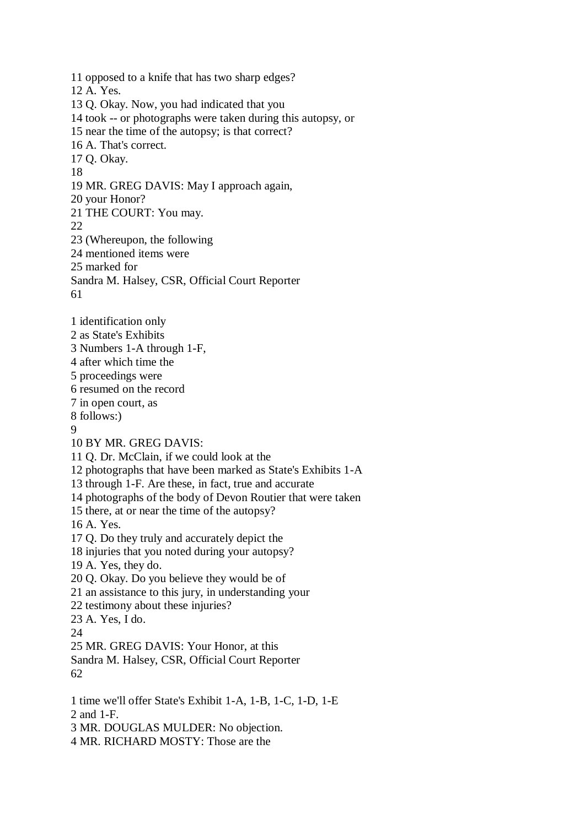11 opposed to a knife that has two sharp edges? 12 A. Yes. 13 Q. Okay. Now, you had indicated that you 14 took -- or photographs were taken during this autopsy, or 15 near the time of the autopsy; is that correct? 16 A. That's correct. 17 Q. Okay. 18 19 MR. GREG DAVIS: May I approach again, 20 your Honor? 21 THE COURT: You may. 22 23 (Whereupon, the following 24 mentioned items were 25 marked for Sandra M. Halsey, CSR, Official Court Reporter 61 1 identification only 2 as State's Exhibits 3 Numbers 1-A through 1-F, 4 after which time the 5 proceedings were 6 resumed on the record 7 in open court, as 8 follows:) 9 10 BY MR. GREG DAVIS: 11 Q. Dr. McClain, if we could look at the 12 photographs that have been marked as State's Exhibits 1-A 13 through 1-F. Are these, in fact, true and accurate 14 photographs of the body of Devon Routier that were taken 15 there, at or near the time of the autopsy? 16 A. Yes. 17 Q. Do they truly and accurately depict the 18 injuries that you noted during your autopsy? 19 A. Yes, they do. 20 Q. Okay. Do you believe they would be of 21 an assistance to this jury, in understanding your 22 testimony about these injuries? 23 A. Yes, I do. 24 25 MR. GREG DAVIS: Your Honor, at this Sandra M. Halsey, CSR, Official Court Reporter 62 1 time we'll offer State's Exhibit 1-A, 1-B, 1-C, 1-D, 1-E 2 and 1-F. 3 MR. DOUGLAS MULDER: No objection.

4 MR. RICHARD MOSTY: Those are the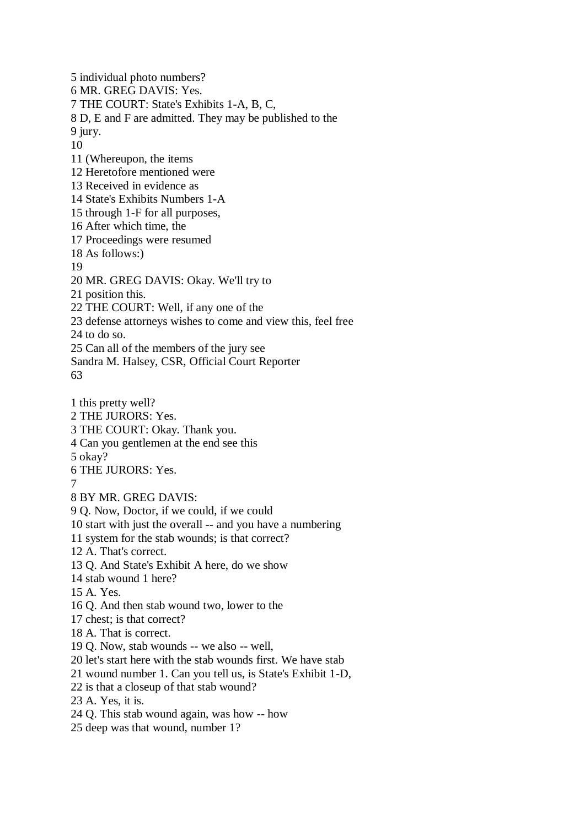5 individual photo numbers? 6 MR. GREG DAVIS: Yes. 7 THE COURT: State's Exhibits 1-A, B, C, 8 D, E and F are admitted. They may be published to the 9 jury. 10 11 (Whereupon, the items 12 Heretofore mentioned were 13 Received in evidence as 14 State's Exhibits Numbers 1-A 15 through 1-F for all purposes, 16 After which time, the 17 Proceedings were resumed 18 As follows:) 19 20 MR. GREG DAVIS: Okay. We'll try to 21 position this. 22 THE COURT: Well, if any one of the 23 defense attorneys wishes to come and view this, feel free 24 to do so. 25 Can all of the members of the jury see Sandra M. Halsey, CSR, Official Court Reporter 63 1 this pretty well? 2 THE JURORS: Yes. 3 THE COURT: Okay. Thank you. 4 Can you gentlemen at the end see this 5 okay? 6 THE JURORS: Yes. 7 8 BY MR. GREG DAVIS: 9 Q. Now, Doctor, if we could, if we could 10 start with just the overall -- and you have a numbering 11 system for the stab wounds; is that correct? 12 A. That's correct. 13 Q. And State's Exhibit A here, do we show 14 stab wound 1 here? 15 A. Yes. 16 Q. And then stab wound two, lower to the 17 chest; is that correct? 18 A. That is correct. 19 Q. Now, stab wounds -- we also -- well, 20 let's start here with the stab wounds first. We have stab 21 wound number 1. Can you tell us, is State's Exhibit 1-D, 22 is that a closeup of that stab wound? 23 A. Yes, it is. 24 Q. This stab wound again, was how -- how 25 deep was that wound, number 1?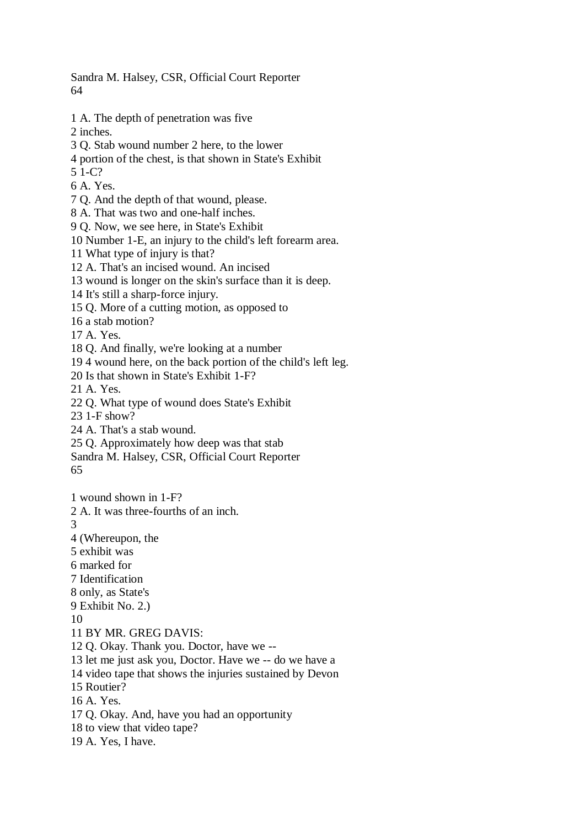Sandra M. Halsey, CSR, Official Court Reporter 64

- 1 A. The depth of penetration was five
- 2 inches.
- 3 Q. Stab wound number 2 here, to the lower
- 4 portion of the chest, is that shown in State's Exhibit
- 5 1-C?
- 6 A. Yes.
- 7 Q. And the depth of that wound, please.
- 8 A. That was two and one-half inches.
- 9 Q. Now, we see here, in State's Exhibit
- 10 Number 1-E, an injury to the child's left forearm area.
- 11 What type of injury is that?
- 12 A. That's an incised wound. An incised
- 13 wound is longer on the skin's surface than it is deep.
- 14 It's still a sharp-force injury.
- 15 Q. More of a cutting motion, as opposed to
- 16 a stab motion?
- 17 A. Yes.
- 18 Q. And finally, we're looking at a number
- 19 4 wound here, on the back portion of the child's left leg.
- 20 Is that shown in State's Exhibit 1-F?
- 21 A. Yes.
- 22 Q. What type of wound does State's Exhibit
- 23 1-F show?
- 24 A. That's a stab wound.
- 25 Q. Approximately how deep was that stab
- Sandra M. Halsey, CSR, Official Court Reporter
- 65

1 wound shown in 1-F?

- 2 A. It was three-fourths of an inch.
- 3
- 4 (Whereupon, the
- 5 exhibit was
- 6 marked for
- 7 Identification
- 8 only, as State's
- 9 Exhibit No. 2.)
- 10
- 11 BY MR. GREG DAVIS:
- 12 Q. Okay. Thank you. Doctor, have we --
- 13 let me just ask you, Doctor. Have we -- do we have a
- 14 video tape that shows the injuries sustained by Devon
- 15 Routier?
- 16 A. Yes.
- 17 Q. Okay. And, have you had an opportunity
- 18 to view that video tape?
- 19 A. Yes, I have.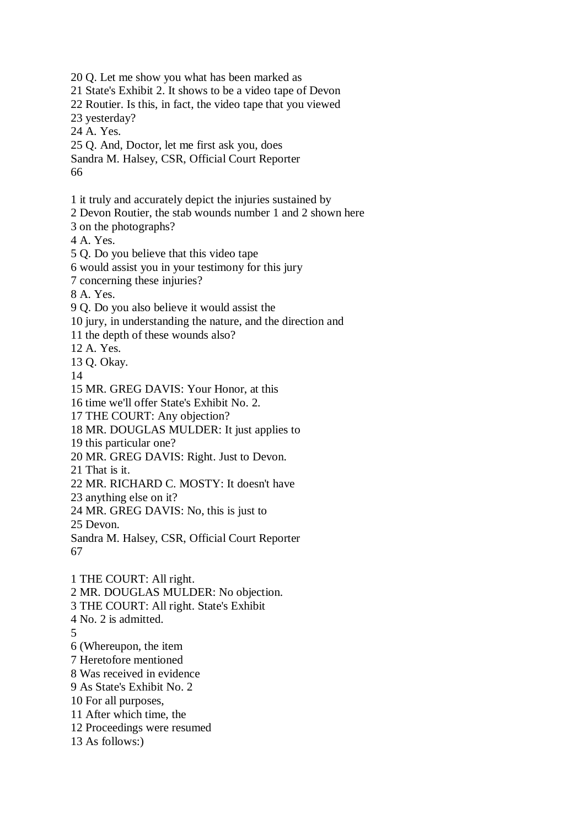20 Q. Let me show you what has been marked as 21 State's Exhibit 2. It shows to be a video tape of Devon 22 Routier. Is this, in fact, the video tape that you viewed 23 yesterday? 24 A. Yes. 25 Q. And, Doctor, let me first ask you, does Sandra M. Halsey, CSR, Official Court Reporter 66 1 it truly and accurately depict the injuries sustained by 2 Devon Routier, the stab wounds number 1 and 2 shown here 3 on the photographs? 4 A. Yes. 5 Q. Do you believe that this video tape 6 would assist you in your testimony for this jury 7 concerning these injuries? 8 A. Yes. 9 Q. Do you also believe it would assist the 10 jury, in understanding the nature, and the direction and 11 the depth of these wounds also? 12 A. Yes. 13 Q. Okay. 14 15 MR. GREG DAVIS: Your Honor, at this 16 time we'll offer State's Exhibit No. 2. 17 THE COURT: Any objection? 18 MR. DOUGLAS MULDER: It just applies to 19 this particular one? 20 MR. GREG DAVIS: Right. Just to Devon. 21 That is it. 22 MR. RICHARD C. MOSTY: It doesn't have 23 anything else on it? 24 MR. GREG DAVIS: No, this is just to 25 Devon. Sandra M. Halsey, CSR, Official Court Reporter 67 1 THE COURT: All right. 2 MR. DOUGLAS MULDER: No objection. 3 THE COURT: All right. State's Exhibit 4 No. 2 is admitted. 5 6 (Whereupon, the item 7 Heretofore mentioned 8 Was received in evidence 9 As State's Exhibit No. 2 10 For all purposes, 11 After which time, the 12 Proceedings were resumed 13 As follows:)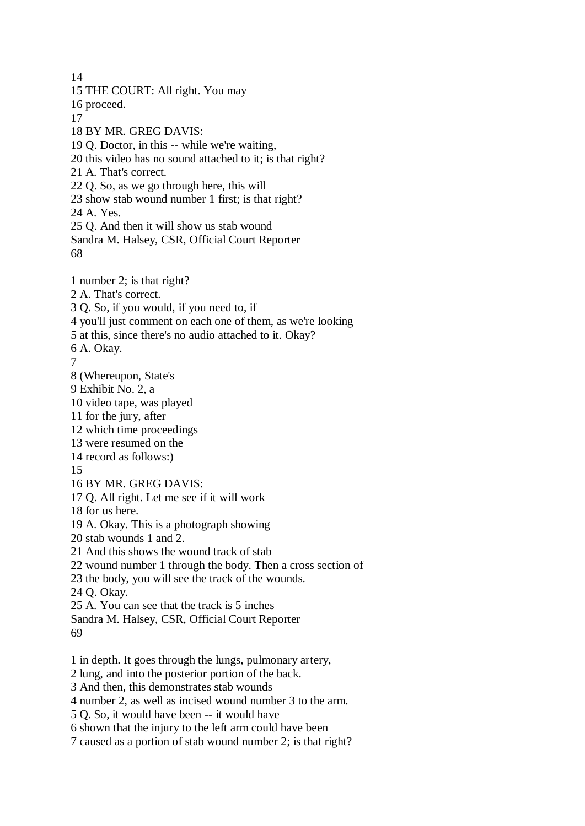14 15 THE COURT: All right. You may 16 proceed. 17 18 BY MR. GREG DAVIS: 19 Q. Doctor, in this -- while we're waiting, 20 this video has no sound attached to it; is that right? 21 A. That's correct. 22 Q. So, as we go through here, this will 23 show stab wound number 1 first; is that right? 24 A. Yes. 25 Q. And then it will show us stab wound Sandra M. Halsey, CSR, Official Court Reporter 68 1 number 2; is that right? 2 A. That's correct. 3 Q. So, if you would, if you need to, if 4 you'll just comment on each one of them, as we're looking 5 at this, since there's no audio attached to it. Okay? 6 A. Okay. 7 8 (Whereupon, State's 9 Exhibit No. 2, a 10 video tape, was played 11 for the jury, after 12 which time proceedings 13 were resumed on the 14 record as follows:) 15 16 BY MR. GREG DAVIS: 17 Q. All right. Let me see if it will work 18 for us here. 19 A. Okay. This is a photograph showing 20 stab wounds 1 and 2. 21 And this shows the wound track of stab 22 wound number 1 through the body. Then a cross section of 23 the body, you will see the track of the wounds. 24 Q. Okay. 25 A. You can see that the track is 5 inches Sandra M. Halsey, CSR, Official Court Reporter 69 1 in depth. It goes through the lungs, pulmonary artery, 2 lung, and into the posterior portion of the back. 3 And then, this demonstrates stab wounds 4 number 2, as well as incised wound number 3 to the arm.

5 Q. So, it would have been -- it would have

6 shown that the injury to the left arm could have been

7 caused as a portion of stab wound number 2; is that right?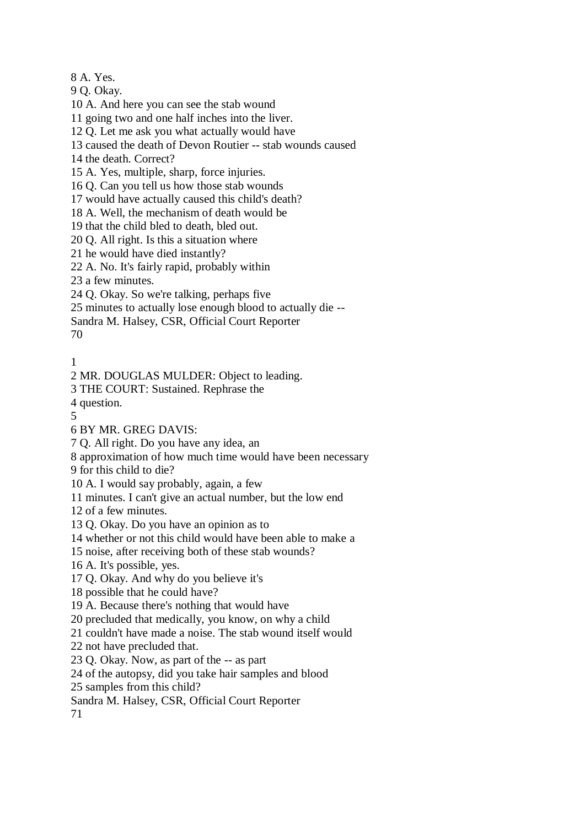8 A. Yes.

9 Q. Okay.

10 A. And here you can see the stab wound

11 going two and one half inches into the liver.

12 Q. Let me ask you what actually would have

13 caused the death of Devon Routier -- stab wounds caused

14 the death. Correct?

15 A. Yes, multiple, sharp, force injuries.

16 Q. Can you tell us how those stab wounds

17 would have actually caused this child's death?

18 A. Well, the mechanism of death would be

19 that the child bled to death, bled out.

20 Q. All right. Is this a situation where

21 he would have died instantly?

22 A. No. It's fairly rapid, probably within

23 a few minutes.

24 Q. Okay. So we're talking, perhaps five

25 minutes to actually lose enough blood to actually die --

Sandra M. Halsey, CSR, Official Court Reporter

70

1

2 MR. DOUGLAS MULDER: Object to leading.

3 THE COURT: Sustained. Rephrase the

4 question.

5

6 BY MR. GREG DAVIS:

7 Q. All right. Do you have any idea, an

8 approximation of how much time would have been necessary

9 for this child to die?

10 A. I would say probably, again, a few

11 minutes. I can't give an actual number, but the low end

12 of a few minutes.

13 Q. Okay. Do you have an opinion as to

14 whether or not this child would have been able to make a

15 noise, after receiving both of these stab wounds?

16 A. It's possible, yes.

17 Q. Okay. And why do you believe it's

18 possible that he could have?

19 A. Because there's nothing that would have

20 precluded that medically, you know, on why a child

21 couldn't have made a noise. The stab wound itself would

22 not have precluded that.

23 Q. Okay. Now, as part of the -- as part

24 of the autopsy, did you take hair samples and blood

25 samples from this child?

Sandra M. Halsey, CSR, Official Court Reporter

71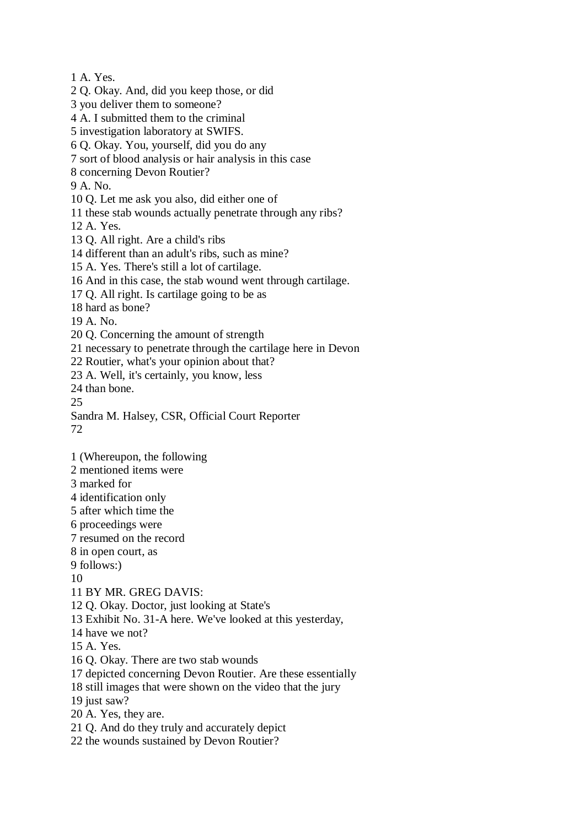1 A. Yes. 2 Q. Okay. And, did you keep those, or did 3 you deliver them to someone? 4 A. I submitted them to the criminal 5 investigation laboratory at SWIFS. 6 Q. Okay. You, yourself, did you do any 7 sort of blood analysis or hair analysis in this case 8 concerning Devon Routier? 9 A. No. 10 Q. Let me ask you also, did either one of 11 these stab wounds actually penetrate through any ribs? 12 A. Yes. 13 Q. All right. Are a child's ribs 14 different than an adult's ribs, such as mine? 15 A. Yes. There's still a lot of cartilage. 16 And in this case, the stab wound went through cartilage. 17 Q. All right. Is cartilage going to be as 18 hard as bone? 19 A. No. 20 Q. Concerning the amount of strength 21 necessary to penetrate through the cartilage here in Devon 22 Routier, what's your opinion about that? 23 A. Well, it's certainly, you know, less 24 than bone. 25 Sandra M. Halsey, CSR, Official Court Reporter 72 1 (Whereupon, the following 2 mentioned items were 3 marked for 4 identification only 5 after which time the 6 proceedings were 7 resumed on the record 8 in open court, as 9 follows:) 10 11 BY MR. GREG DAVIS: 12 Q. Okay. Doctor, just looking at State's 13 Exhibit No. 31-A here. We've looked at this yesterday, 14 have we not? 15 A. Yes. 16 Q. Okay. There are two stab wounds 17 depicted concerning Devon Routier. Are these essentially 18 still images that were shown on the video that the jury 19 just saw? 20 A. Yes, they are. 21 Q. And do they truly and accurately depict 22 the wounds sustained by Devon Routier?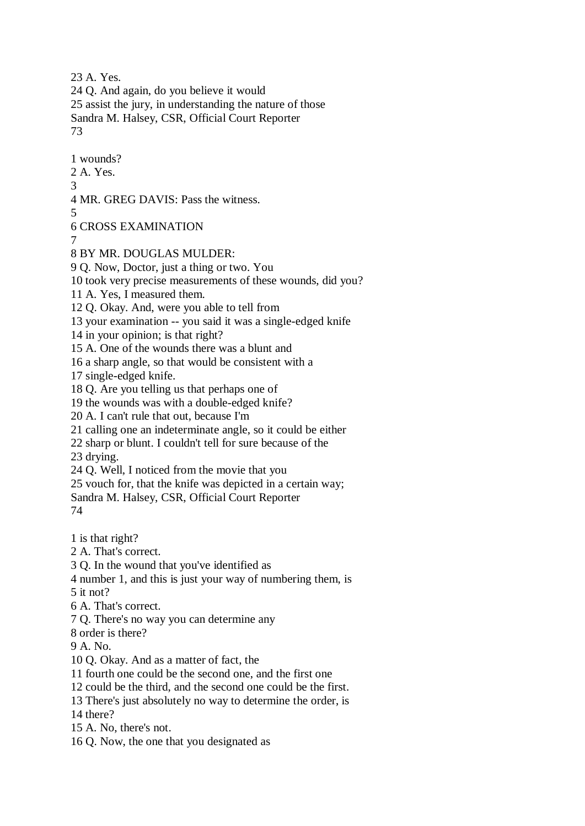23 A. Yes. 24 Q. And again, do you believe it would 25 assist the jury, in understanding the nature of those Sandra M. Halsey, CSR, Official Court Reporter 73 1 wounds? 2 A. Yes. 3 4 MR. GREG DAVIS: Pass the witness. 5 6 CROSS EXAMINATION 7 8 BY MR. DOUGLAS MULDER: 9 Q. Now, Doctor, just a thing or two. You 10 took very precise measurements of these wounds, did you? 11 A. Yes, I measured them. 12 Q. Okay. And, were you able to tell from 13 your examination -- you said it was a single-edged knife 14 in your opinion; is that right? 15 A. One of the wounds there was a blunt and 16 a sharp angle, so that would be consistent with a 17 single-edged knife. 18 Q. Are you telling us that perhaps one of 19 the wounds was with a double-edged knife? 20 A. I can't rule that out, because I'm 21 calling one an indeterminate angle, so it could be either 22 sharp or blunt. I couldn't tell for sure because of the 23 drying. 24 Q. Well, I noticed from the movie that you 25 vouch for, that the knife was depicted in a certain way; Sandra M. Halsey, CSR, Official Court Reporter 74 1 is that right? 2 A. That's correct. 3 Q. In the wound that you've identified as 4 number 1, and this is just your way of numbering them, is 5 it not? 6 A. That's correct. 7 Q. There's no way you can determine any 8 order is there? 9 A. No. 10 Q. Okay. And as a matter of fact, the 11 fourth one could be the second one, and the first one 12 could be the third, and the second one could be the first. 13 There's just absolutely no way to determine the order, is 14 there? 15 A. No, there's not. 16 Q. Now, the one that you designated as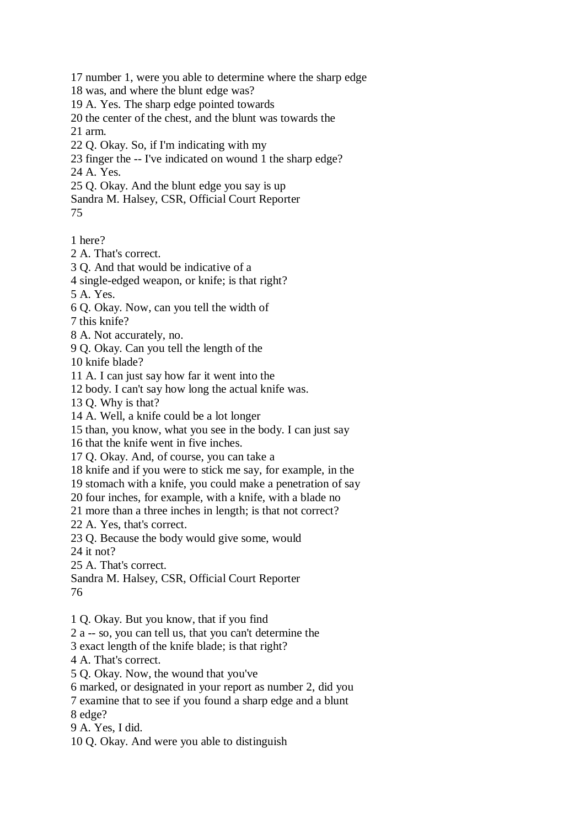17 number 1, were you able to determine where the sharp edge 18 was, and where the blunt edge was? 19 A. Yes. The sharp edge pointed towards 20 the center of the chest, and the blunt was towards the 21 arm. 22 Q. Okay. So, if I'm indicating with my 23 finger the -- I've indicated on wound 1 the sharp edge? 24 A. Yes. 25 Q. Okay. And the blunt edge you say is up Sandra M. Halsey, CSR, Official Court Reporter 75 1 here? 2 A. That's correct. 3 Q. And that would be indicative of a 4 single-edged weapon, or knife; is that right? 5 A. Yes. 6 Q. Okay. Now, can you tell the width of 7 this knife? 8 A. Not accurately, no. 9 Q. Okay. Can you tell the length of the

10 knife blade?

11 A. I can just say how far it went into the

12 body. I can't say how long the actual knife was.

13 Q. Why is that?

14 A. Well, a knife could be a lot longer

15 than, you know, what you see in the body. I can just say

16 that the knife went in five inches.

17 Q. Okay. And, of course, you can take a

18 knife and if you were to stick me say, for example, in the

19 stomach with a knife, you could make a penetration of say

20 four inches, for example, with a knife, with a blade no

21 more than a three inches in length; is that not correct?

22 A. Yes, that's correct.

23 Q. Because the body would give some, would

24 it not?

25 A. That's correct.

Sandra M. Halsey, CSR, Official Court Reporter 76

1 Q. Okay. But you know, that if you find

2 a -- so, you can tell us, that you can't determine the

3 exact length of the knife blade; is that right?

4 A. That's correct.

5 Q. Okay. Now, the wound that you've

6 marked, or designated in your report as number 2, did you

7 examine that to see if you found a sharp edge and a blunt

8 edge?

9 A. Yes, I did.

10 Q. Okay. And were you able to distinguish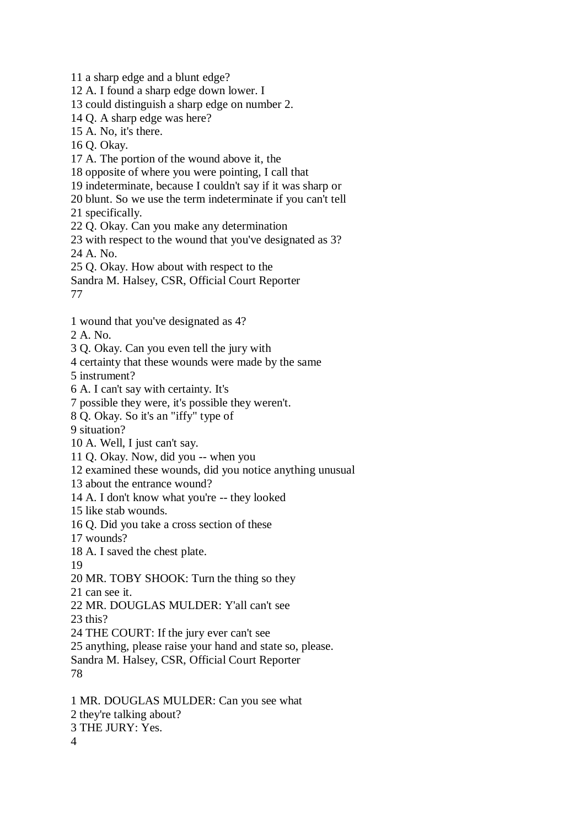11 a sharp edge and a blunt edge? 12 A. I found a sharp edge down lower. I 13 could distinguish a sharp edge on number 2. 14 Q. A sharp edge was here? 15 A. No, it's there. 16 Q. Okay. 17 A. The portion of the wound above it, the 18 opposite of where you were pointing, I call that 19 indeterminate, because I couldn't say if it was sharp or 20 blunt. So we use the term indeterminate if you can't tell 21 specifically. 22 Q. Okay. Can you make any determination 23 with respect to the wound that you've designated as 3? 24 A. No. 25 Q. Okay. How about with respect to the Sandra M. Halsey, CSR, Official Court Reporter 77 1 wound that you've designated as 4? 2 A. No. 3 Q. Okay. Can you even tell the jury with 4 certainty that these wounds were made by the same 5 instrument? 6 A. I can't say with certainty. It's 7 possible they were, it's possible they weren't. 8 Q. Okay. So it's an "iffy" type of 9 situation? 10 A. Well, I just can't say. 11 Q. Okay. Now, did you -- when you 12 examined these wounds, did you notice anything unusual 13 about the entrance wound? 14 A. I don't know what you're -- they looked 15 like stab wounds. 16 Q. Did you take a cross section of these 17 wounds? 18 A. I saved the chest plate. 19 20 MR. TOBY SHOOK: Turn the thing so they 21 can see it. 22 MR. DOUGLAS MULDER: Y'all can't see 23 this? 24 THE COURT: If the jury ever can't see 25 anything, please raise your hand and state so, please. Sandra M. Halsey, CSR, Official Court Reporter 78 1 MR. DOUGLAS MULDER: Can you see what 2 they're talking about? 3 THE JURY: Yes.

4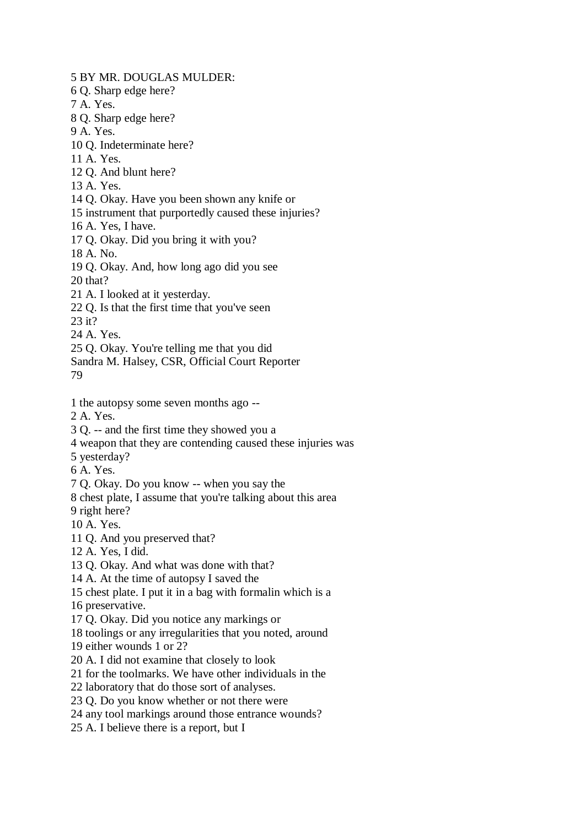5 BY MR. DOUGLAS MULDER:

6 Q. Sharp edge here?

7 A. Yes.

8 Q. Sharp edge here?

9 A. Yes.

10 Q. Indeterminate here?

- 11 A. Yes.
- 12 Q. And blunt here?

13 A. Yes.

- 14 Q. Okay. Have you been shown any knife or
- 15 instrument that purportedly caused these injuries?

16 A. Yes, I have.

17 Q. Okay. Did you bring it with you?

18 A. No.

19 Q. Okay. And, how long ago did you see

20 that?

- 21 A. I looked at it yesterday.
- 22 Q. Is that the first time that you've seen
- 23 it?
- 24 A. Yes.
- 25 Q. Okay. You're telling me that you did
- Sandra M. Halsey, CSR, Official Court Reporter 79
- 1 the autopsy some seven months ago --
- 2 A. Yes.
- 3 Q. -- and the first time they showed you a
- 4 weapon that they are contending caused these injuries was
- 5 yesterday?
- 6 A. Yes.

7 Q. Okay. Do you know -- when you say the

8 chest plate, I assume that you're talking about this area

9 right here?

- 10 A. Yes.
- 11 Q. And you preserved that?
- 12 A. Yes, I did.
- 13 Q. Okay. And what was done with that?
- 14 A. At the time of autopsy I saved the
- 15 chest plate. I put it in a bag with formalin which is a
- 16 preservative.
- 17 Q. Okay. Did you notice any markings or
- 18 toolings or any irregularities that you noted, around
- 19 either wounds 1 or 2?
- 20 A. I did not examine that closely to look
- 21 for the toolmarks. We have other individuals in the
- 22 laboratory that do those sort of analyses.
- 23 Q. Do you know whether or not there were
- 24 any tool markings around those entrance wounds?
- 25 A. I believe there is a report, but I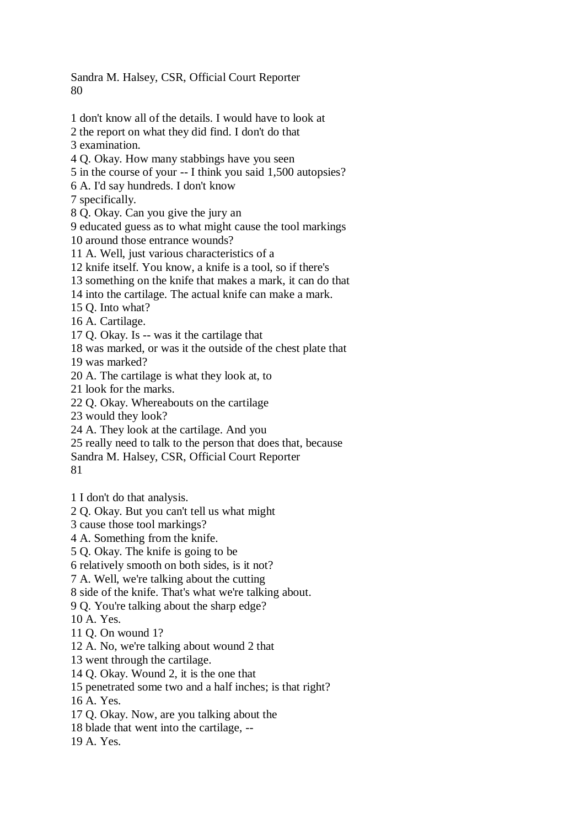Sandra M. Halsey, CSR, Official Court Reporter 80

3 examination.

1 don't know all of the details. I would have to look at 2 the report on what they did find. I don't do that

4 Q. Okay. How many stabbings have you seen 5 in the course of your -- I think you said 1,500 autopsies? 6 A. I'd say hundreds. I don't know 7 specifically. 8 Q. Okay. Can you give the jury an 9 educated guess as to what might cause the tool markings 10 around those entrance wounds? 11 A. Well, just various characteristics of a 12 knife itself. You know, a knife is a tool, so if there's 13 something on the knife that makes a mark, it can do that 14 into the cartilage. The actual knife can make a mark. 15 Q. Into what? 16 A. Cartilage. 17 Q. Okay. Is -- was it the cartilage that 18 was marked, or was it the outside of the chest plate that 19 was marked? 20 A. The cartilage is what they look at, to 21 look for the marks. 22 Q. Okay. Whereabouts on the cartilage 23 would they look? 24 A. They look at the cartilage. And you 25 really need to talk to the person that does that, because Sandra M. Halsey, CSR, Official Court Reporter 81 1 I don't do that analysis. 2 Q. Okay. But you can't tell us what might 3 cause those tool markings? 4 A. Something from the knife. 5 Q. Okay. The knife is going to be 6 relatively smooth on both sides, is it not? 7 A. Well, we're talking about the cutting 8 side of the knife. That's what we're talking about. 9 Q. You're talking about the sharp edge? 10 A. Yes. 11 Q. On wound 1? 12 A. No, we're talking about wound 2 that 13 went through the cartilage. 14 Q. Okay. Wound 2, it is the one that 15 penetrated some two and a half inches; is that right? 16 A. Yes. 17 Q. Okay. Now, are you talking about the 18 blade that went into the cartilage, -- 19 A. Yes.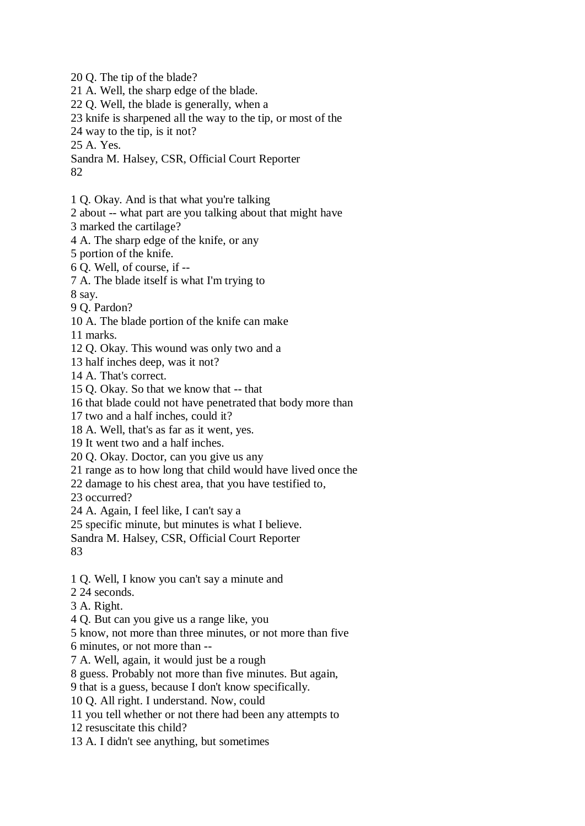20 Q. The tip of the blade? 21 A. Well, the sharp edge of the blade. 22 Q. Well, the blade is generally, when a 23 knife is sharpened all the way to the tip, or most of the 24 way to the tip, is it not? 25 A. Yes. Sandra M. Halsey, CSR, Official Court Reporter 82 1 Q. Okay. And is that what you're talking 2 about -- what part are you talking about that might have 3 marked the cartilage? 4 A. The sharp edge of the knife, or any 5 portion of the knife. 6 Q. Well, of course, if -- 7 A. The blade itself is what I'm trying to 8 say. 9 Q. Pardon? 10 A. The blade portion of the knife can make 11 marks. 12 Q. Okay. This wound was only two and a 13 half inches deep, was it not? 14 A. That's correct. 15 Q. Okay. So that we know that -- that 16 that blade could not have penetrated that body more than 17 two and a half inches, could it? 18 A. Well, that's as far as it went, yes. 19 It went two and a half inches. 20 Q. Okay. Doctor, can you give us any 21 range as to how long that child would have lived once the 22 damage to his chest area, that you have testified to, 23 occurred? 24 A. Again, I feel like, I can't say a 25 specific minute, but minutes is what I believe. Sandra M. Halsey, CSR, Official Court Reporter 83 1 Q. Well, I know you can't say a minute and 2 24 seconds. 3 A. Right. 4 Q. But can you give us a range like, you 5 know, not more than three minutes, or not more than five 6 minutes, or not more than -- 7 A. Well, again, it would just be a rough 8 guess. Probably not more than five minutes. But again, 9 that is a guess, because I don't know specifically. 10 Q. All right. I understand. Now, could 11 you tell whether or not there had been any attempts to 12 resuscitate this child?

13 A. I didn't see anything, but sometimes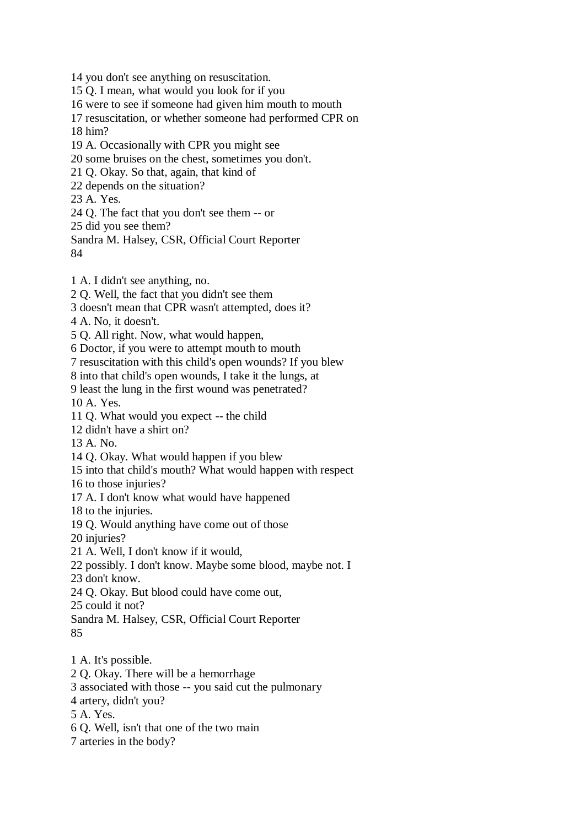14 you don't see anything on resuscitation.

15 Q. I mean, what would you look for if you

16 were to see if someone had given him mouth to mouth

17 resuscitation, or whether someone had performed CPR on

18 him?

19 A. Occasionally with CPR you might see

20 some bruises on the chest, sometimes you don't.

21 Q. Okay. So that, again, that kind of

22 depends on the situation?

23 A. Yes.

24 Q. The fact that you don't see them -- or

25 did you see them?

Sandra M. Halsey, CSR, Official Court Reporter

84

1 A. I didn't see anything, no.

2 Q. Well, the fact that you didn't see them

3 doesn't mean that CPR wasn't attempted, does it?

4 A. No, it doesn't.

5 Q. All right. Now, what would happen,

6 Doctor, if you were to attempt mouth to mouth

7 resuscitation with this child's open wounds? If you blew

8 into that child's open wounds, I take it the lungs, at

9 least the lung in the first wound was penetrated?

10 A. Yes.

11 Q. What would you expect -- the child

12 didn't have a shirt on?

13 A. No.

14 Q. Okay. What would happen if you blew

15 into that child's mouth? What would happen with respect

16 to those injuries?

17 A. I don't know what would have happened

18 to the injuries.

19 Q. Would anything have come out of those

20 injuries?

21 A. Well, I don't know if it would,

22 possibly. I don't know. Maybe some blood, maybe not. I

23 don't know.

24 Q. Okay. But blood could have come out,

25 could it not?

Sandra M. Halsey, CSR, Official Court Reporter

85

1 A. It's possible.

2 Q. Okay. There will be a hemorrhage

3 associated with those -- you said cut the pulmonary

4 artery, didn't you?

5 A. Yes.

6 Q. Well, isn't that one of the two main

7 arteries in the body?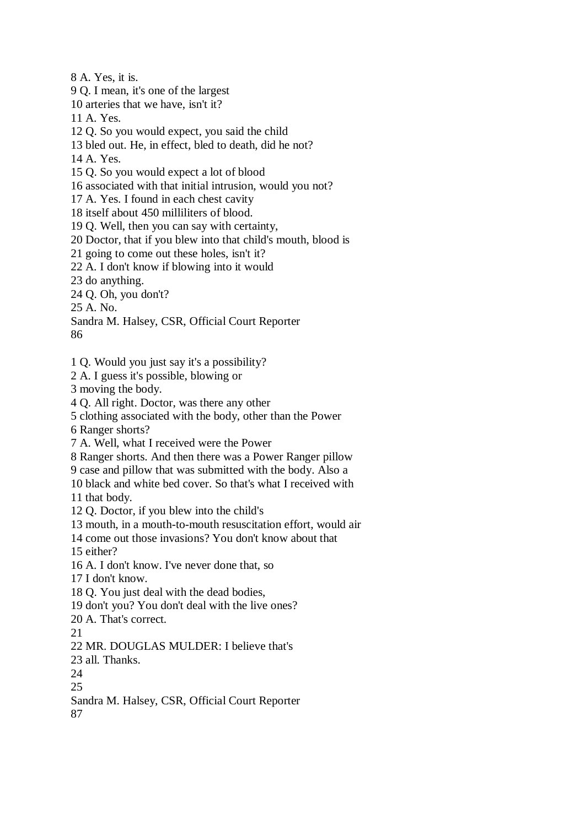8 A. Yes, it is.

9 Q. I mean, it's one of the largest

10 arteries that we have, isn't it?

11 A. Yes.

12 Q. So you would expect, you said the child

13 bled out. He, in effect, bled to death, did he not?

14 A. Yes.

15 Q. So you would expect a lot of blood

16 associated with that initial intrusion, would you not?

17 A. Yes. I found in each chest cavity

18 itself about 450 milliliters of blood.

19 Q. Well, then you can say with certainty,

20 Doctor, that if you blew into that child's mouth, blood is

21 going to come out these holes, isn't it?

22 A. I don't know if blowing into it would

23 do anything.

24 Q. Oh, you don't?

25 A. No.

Sandra M. Halsey, CSR, Official Court Reporter 86

1 Q. Would you just say it's a possibility?

2 A. I guess it's possible, blowing or

3 moving the body.

4 Q. All right. Doctor, was there any other

5 clothing associated with the body, other than the Power

6 Ranger shorts?

7 A. Well, what I received were the Power

8 Ranger shorts. And then there was a Power Ranger pillow

9 case and pillow that was submitted with the body. Also a

10 black and white bed cover. So that's what I received with

11 that body.

12 Q. Doctor, if you blew into the child's

13 mouth, in a mouth-to-mouth resuscitation effort, would air

14 come out those invasions? You don't know about that

15 either?

16 A. I don't know. I've never done that, so

17 I don't know.

18 Q. You just deal with the dead bodies,

19 don't you? You don't deal with the live ones?

20 A. That's correct.

21

22 MR. DOUGLAS MULDER: I believe that's

23 all. Thanks.

24

25

Sandra M. Halsey, CSR, Official Court Reporter

87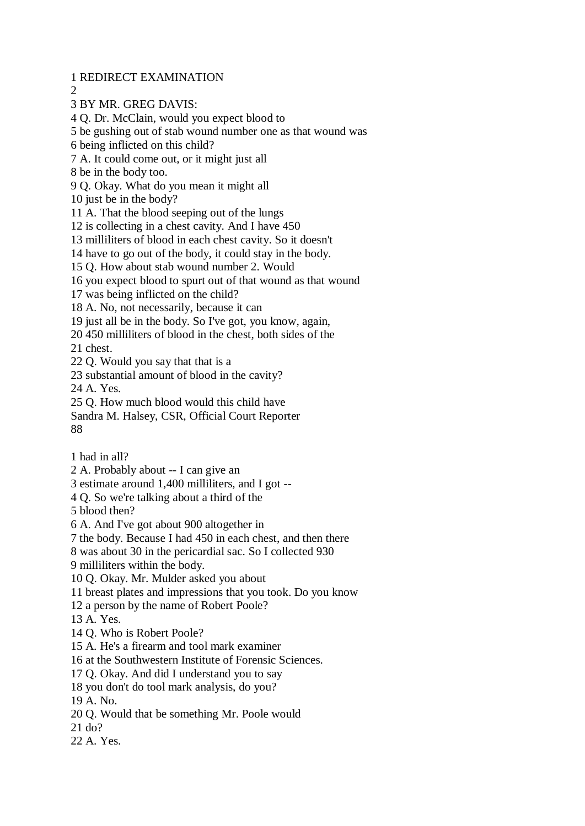1 REDIRECT EXAMINATION

2

3 BY MR. GREG DAVIS:

4 Q. Dr. McClain, would you expect blood to

5 be gushing out of stab wound number one as that wound was

6 being inflicted on this child?

7 A. It could come out, or it might just all

8 be in the body too.

9 Q. Okay. What do you mean it might all

10 just be in the body?

11 A. That the blood seeping out of the lungs

12 is collecting in a chest cavity. And I have 450

13 milliliters of blood in each chest cavity. So it doesn't

14 have to go out of the body, it could stay in the body.

15 Q. How about stab wound number 2. Would

16 you expect blood to spurt out of that wound as that wound

17 was being inflicted on the child?

18 A. No, not necessarily, because it can

19 just all be in the body. So I've got, you know, again,

20 450 milliliters of blood in the chest, both sides of the

21 chest.

22 Q. Would you say that that is a

23 substantial amount of blood in the cavity?

24 A. Yes.

25 Q. How much blood would this child have

Sandra M. Halsey, CSR, Official Court Reporter 88

1 had in all?

2 A. Probably about -- I can give an

3 estimate around 1,400 milliliters, and I got --

4 Q. So we're talking about a third of the

5 blood then?

6 A. And I've got about 900 altogether in

7 the body. Because I had 450 in each chest, and then there

8 was about 30 in the pericardial sac. So I collected 930

9 milliliters within the body.

10 Q. Okay. Mr. Mulder asked you about

11 breast plates and impressions that you took. Do you know

12 a person by the name of Robert Poole?

13 A. Yes.

14 Q. Who is Robert Poole?

15 A. He's a firearm and tool mark examiner

16 at the Southwestern Institute of Forensic Sciences.

17 Q. Okay. And did I understand you to say

18 you don't do tool mark analysis, do you?

19 A. No.

20 Q. Would that be something Mr. Poole would

21 do?

22 A. Yes.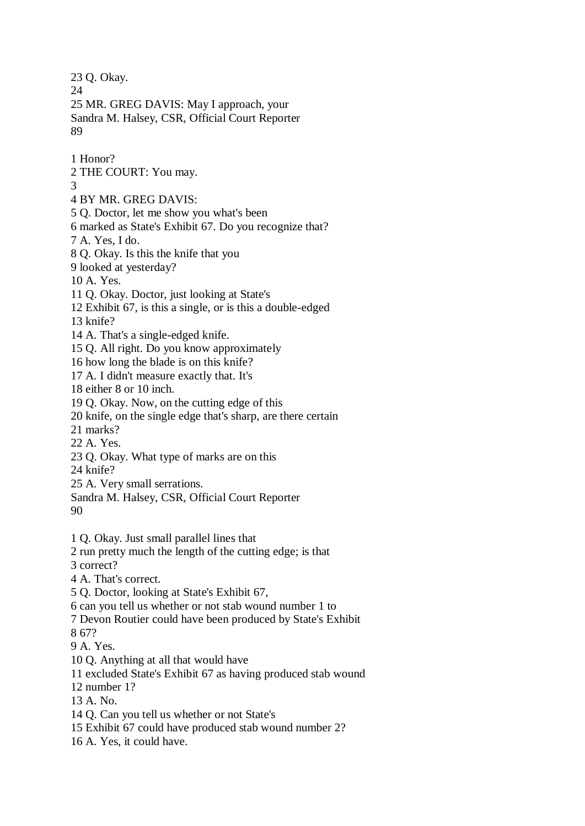23 Q. Okay. 24 25 MR. GREG DAVIS: May I approach, your Sandra M. Halsey, CSR, Official Court Reporter 89 1 Honor? 2 THE COURT: You may. 3 4 BY MR. GREG DAVIS: 5 Q. Doctor, let me show you what's been 6 marked as State's Exhibit 67. Do you recognize that? 7 A. Yes, I do. 8 Q. Okay. Is this the knife that you 9 looked at yesterday? 10 A. Yes. 11 Q. Okay. Doctor, just looking at State's 12 Exhibit 67, is this a single, or is this a double-edged 13 knife? 14 A. That's a single-edged knife. 15 Q. All right. Do you know approximately 16 how long the blade is on this knife? 17 A. I didn't measure exactly that. It's 18 either 8 or 10 inch. 19 Q. Okay. Now, on the cutting edge of this 20 knife, on the single edge that's sharp, are there certain 21 marks? 22 A. Yes. 23 Q. Okay. What type of marks are on this 24 knife? 25 A. Very small serrations. Sandra M. Halsey, CSR, Official Court Reporter 90 1 Q. Okay. Just small parallel lines that 2 run pretty much the length of the cutting edge; is that 3 correct? 4 A. That's correct. 5 Q. Doctor, looking at State's Exhibit 67, 6 can you tell us whether or not stab wound number 1 to 7 Devon Routier could have been produced by State's Exhibit 8 67? 9 A. Yes. 10 Q. Anything at all that would have 11 excluded State's Exhibit 67 as having produced stab wound 12 number 1? 13 A. No. 14 Q. Can you tell us whether or not State's 15 Exhibit 67 could have produced stab wound number 2? 16 A. Yes, it could have.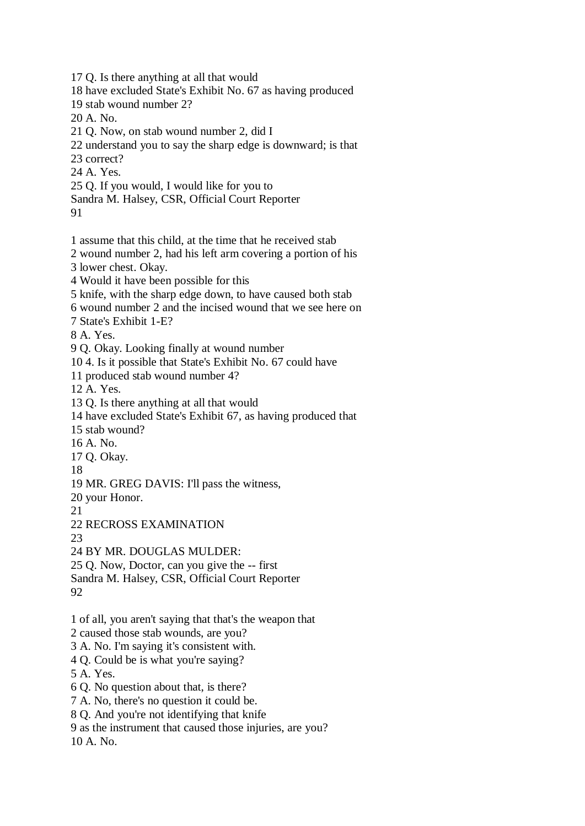17 Q. Is there anything at all that would 18 have excluded State's Exhibit No. 67 as having produced 19 stab wound number 2? 20 A. No. 21 Q. Now, on stab wound number 2, did I 22 understand you to say the sharp edge is downward; is that 23 correct? 24 A. Yes. 25 Q. If you would, I would like for you to Sandra M. Halsey, CSR, Official Court Reporter 91 1 assume that this child, at the time that he received stab 2 wound number 2, had his left arm covering a portion of his 3 lower chest. Okay. 4 Would it have been possible for this 5 knife, with the sharp edge down, to have caused both stab 6 wound number 2 and the incised wound that we see here on 7 State's Exhibit 1-E? 8 A. Yes. 9 Q. Okay. Looking finally at wound number 10 4. Is it possible that State's Exhibit No. 67 could have 11 produced stab wound number 4? 12 A. Yes. 13 Q. Is there anything at all that would 14 have excluded State's Exhibit 67, as having produced that 15 stab wound? 16 A. No. 17 Q. Okay. 18 19 MR. GREG DAVIS: I'll pass the witness, 20 your Honor. 21 22 RECROSS EXAMINATION  $23$ 24 BY MR. DOUGLAS MULDER: 25 Q. Now, Doctor, can you give the -- first Sandra M. Halsey, CSR, Official Court Reporter 92 1 of all, you aren't saying that that's the weapon that 2 caused those stab wounds, are you? 3 A. No. I'm saying it's consistent with. 4 Q. Could be is what you're saying? 5 A. Yes. 6 Q. No question about that, is there? 7 A. No, there's no question it could be. 8 Q. And you're not identifying that knife

9 as the instrument that caused those injuries, are you? 10 A. No.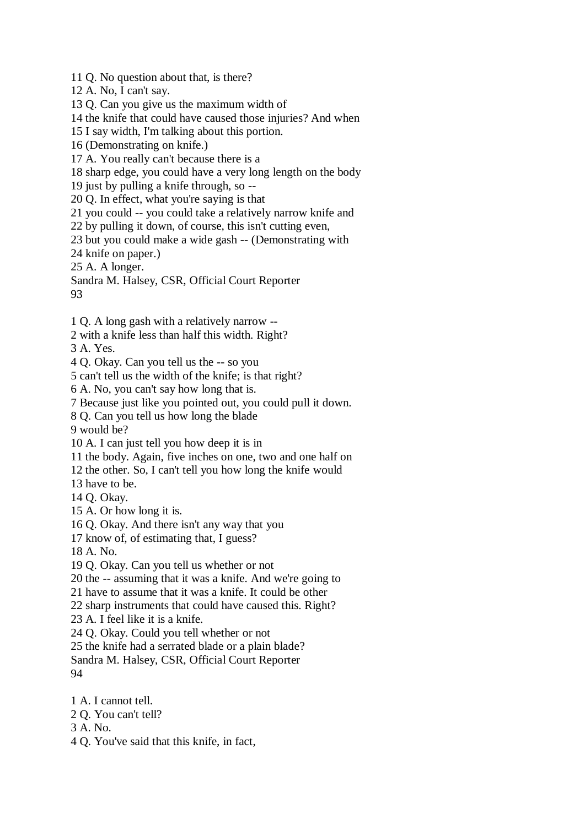11 Q. No question about that, is there?

12 A. No, I can't say.

13 Q. Can you give us the maximum width of

14 the knife that could have caused those injuries? And when

15 I say width, I'm talking about this portion.

16 (Demonstrating on knife.)

17 A. You really can't because there is a

18 sharp edge, you could have a very long length on the body

19 just by pulling a knife through, so --

20 Q. In effect, what you're saying is that

21 you could -- you could take a relatively narrow knife and

22 by pulling it down, of course, this isn't cutting even,

23 but you could make a wide gash -- (Demonstrating with

24 knife on paper.)

25 A. A longer.

Sandra M. Halsey, CSR, Official Court Reporter

93

1 Q. A long gash with a relatively narrow --

2 with a knife less than half this width. Right?

3 A. Yes.

4 Q. Okay. Can you tell us the -- so you

5 can't tell us the width of the knife; is that right?

6 A. No, you can't say how long that is.

7 Because just like you pointed out, you could pull it down.

8 Q. Can you tell us how long the blade

9 would be?

10 A. I can just tell you how deep it is in

11 the body. Again, five inches on one, two and one half on

12 the other. So, I can't tell you how long the knife would

13 have to be.

14 Q. Okay.

15 A. Or how long it is.

16 Q. Okay. And there isn't any way that you

17 know of, of estimating that, I guess?

18 A. No.

19 Q. Okay. Can you tell us whether or not

20 the -- assuming that it was a knife. And we're going to

21 have to assume that it was a knife. It could be other

22 sharp instruments that could have caused this. Right?

23 A. I feel like it is a knife.

24 Q. Okay. Could you tell whether or not

25 the knife had a serrated blade or a plain blade?

Sandra M. Halsey, CSR, Official Court Reporter 94

1 A. I cannot tell.

2 Q. You can't tell?

3 A. No.

4 Q. You've said that this knife, in fact,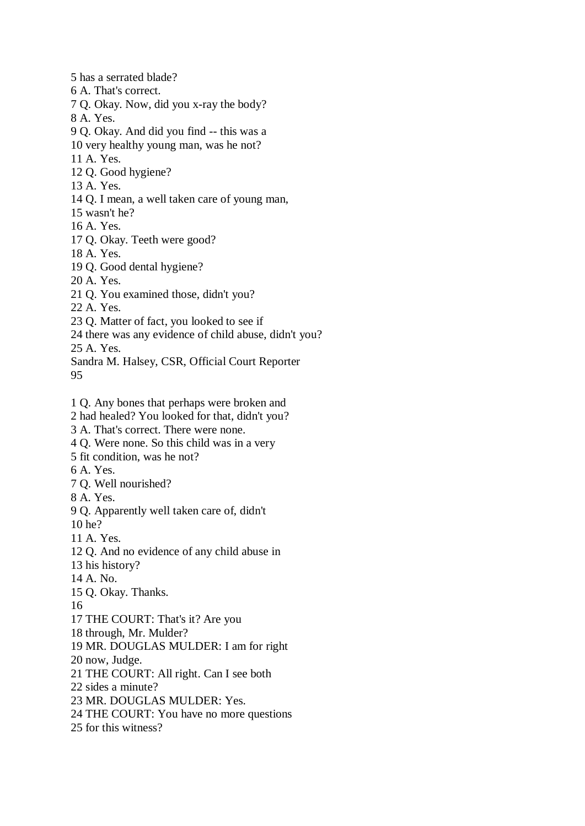5 has a serrated blade? 6 A. That's correct. 7 Q. Okay. Now, did you x-ray the body? 8 A. Yes. 9 Q. Okay. And did you find -- this was a 10 very healthy young man, was he not? 11 A. Yes. 12 Q. Good hygiene? 13 A. Yes. 14 Q. I mean, a well taken care of young man, 15 wasn't he? 16 A. Yes. 17 Q. Okay. Teeth were good? 18 A. Yes. 19 Q. Good dental hygiene? 20 A. Yes. 21 Q. You examined those, didn't you? 22 A. Yes. 23 Q. Matter of fact, you looked to see if 24 there was any evidence of child abuse, didn't you? 25 A. Yes. Sandra M. Halsey, CSR, Official Court Reporter 95 1 Q. Any bones that perhaps were broken and 2 had healed? You looked for that, didn't you? 3 A. That's correct. There were none. 4 Q. Were none. So this child was in a very 5 fit condition, was he not? 6 A. Yes. 7 Q. Well nourished? 8 A. Yes. 9 Q. Apparently well taken care of, didn't 10 he? 11 A. Yes. 12 Q. And no evidence of any child abuse in 13 his history? 14 A. No. 15 Q. Okay. Thanks. 16 17 THE COURT: That's it? Are you 18 through, Mr. Mulder? 19 MR. DOUGLAS MULDER: I am for right 20 now, Judge. 21 THE COURT: All right. Can I see both 22 sides a minute? 23 MR. DOUGLAS MULDER: Yes. 24 THE COURT: You have no more questions 25 for this witness?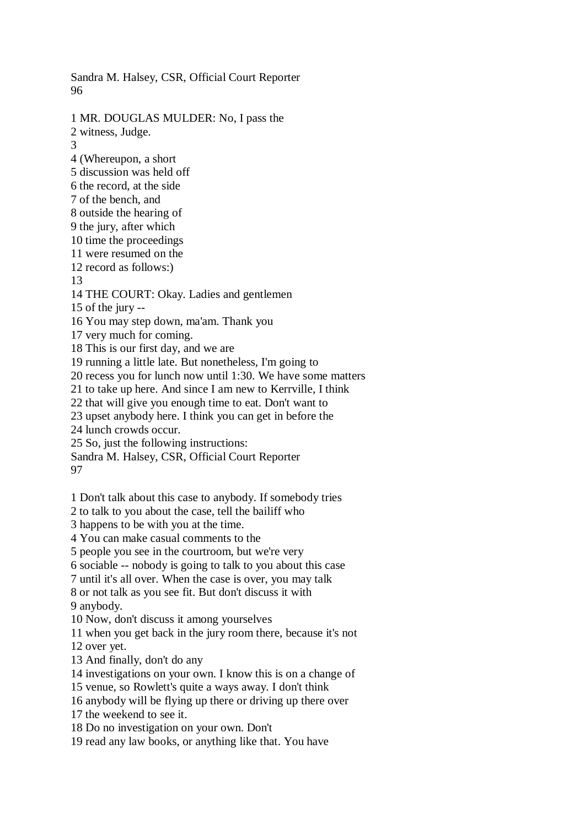96 1 MR. DOUGLAS MULDER: No, I pass the 2 witness, Judge. 3 4 (Whereupon, a short 5 discussion was held off 6 the record, at the side 7 of the bench, and 8 outside the hearing of 9 the jury, after which 10 time the proceedings 11 were resumed on the 12 record as follows:) 13 14 THE COURT: Okay. Ladies and gentlemen 15 of the jury -- 16 You may step down, ma'am. Thank you 17 very much for coming. 18 This is our first day, and we are 19 running a little late. But nonetheless, I'm going to 20 recess you for lunch now until 1:30. We have some matters 21 to take up here. And since I am new to Kerrville, I think 22 that will give you enough time to eat. Don't want to 23 upset anybody here. I think you can get in before the 24 lunch crowds occur. 25 So, just the following instructions: Sandra M. Halsey, CSR, Official Court Reporter 97 1 Don't talk about this case to anybody. If somebody tries 2 to talk to you about the case, tell the bailiff who 3 happens to be with you at the time. 4 You can make casual comments to the 5 people you see in the courtroom, but we're very 6 sociable -- nobody is going to talk to you about this case 7 until it's all over. When the case is over, you may talk 8 or not talk as you see fit. But don't discuss it with 9 anybody. 10 Now, don't discuss it among yourselves 11 when you get back in the jury room there, because it's not 12 over yet. 13 And finally, don't do any 14 investigations on your own. I know this is on a change of

Sandra M. Halsey, CSR, Official Court Reporter

15 venue, so Rowlett's quite a ways away. I don't think

16 anybody will be flying up there or driving up there over

17 the weekend to see it.

18 Do no investigation on your own. Don't

19 read any law books, or anything like that. You have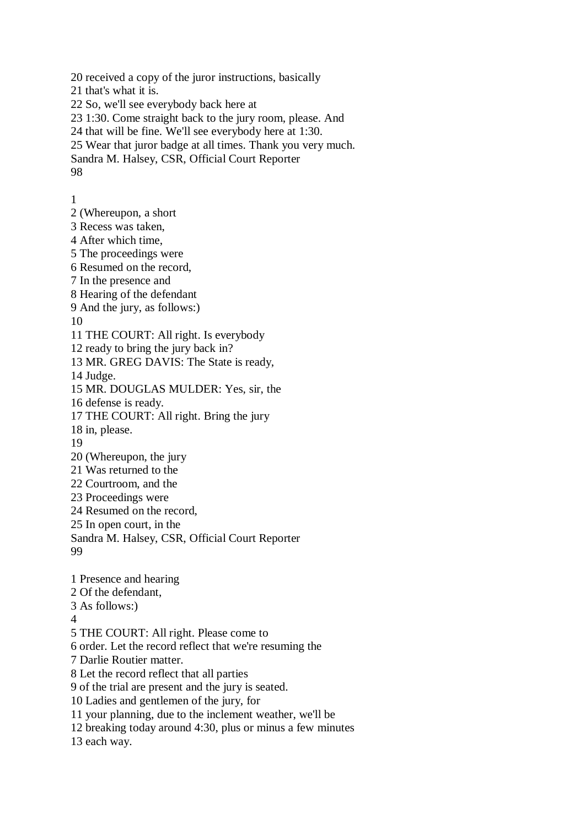20 received a copy of the juror instructions, basically 21 that's what it is. 22 So, we'll see everybody back here at 23 1:30. Come straight back to the jury room, please. And 24 that will be fine. We'll see everybody here at 1:30. 25 Wear that juror badge at all times. Thank you very much. Sandra M. Halsey, CSR, Official Court Reporter 98 1 2 (Whereupon, a short 3 Recess was taken,

- 4 After which time,
- 5 The proceedings were
- 6 Resumed on the record,
- 7 In the presence and
- 8 Hearing of the defendant
- 9 And the jury, as follows:)
- 10
- 11 THE COURT: All right. Is everybody
- 12 ready to bring the jury back in?
- 13 MR. GREG DAVIS: The State is ready,
- 14 Judge.

15 MR. DOUGLAS MULDER: Yes, sir, the

- 16 defense is ready.
- 17 THE COURT: All right. Bring the jury
- 18 in, please.
- 19
- 20 (Whereupon, the jury
- 21 Was returned to the
- 22 Courtroom, and the
- 23 Proceedings were
- 24 Resumed on the record,
- 25 In open court, in the
- Sandra M. Halsey, CSR, Official Court Reporter 99
- 1 Presence and hearing
- 2 Of the defendant,
- 3 As follows:)
- 4
- 5 THE COURT: All right. Please come to
- 6 order. Let the record reflect that we're resuming the
- 7 Darlie Routier matter.
- 8 Let the record reflect that all parties
- 9 of the trial are present and the jury is seated.
- 10 Ladies and gentlemen of the jury, for
- 11 your planning, due to the inclement weather, we'll be
- 12 breaking today around 4:30, plus or minus a few minutes
- 13 each way.